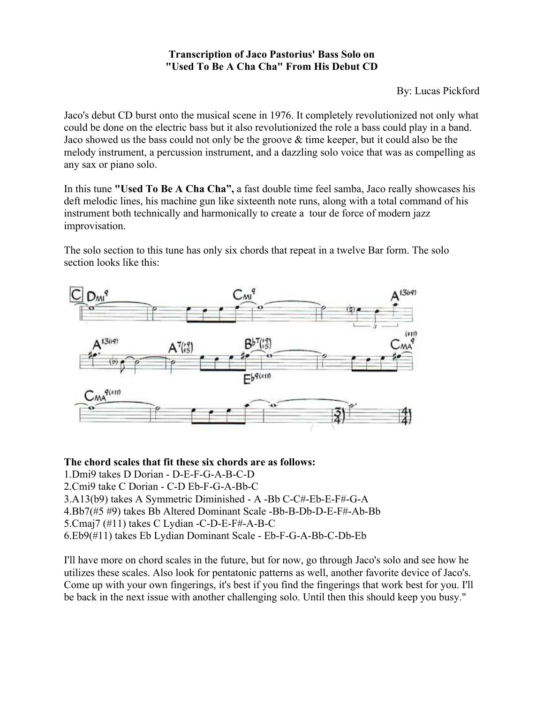## **Transcription of Jaco Pastorius' Bass Solo on "Used To Be A Cha Cha" From His Debut CD**

By: Lucas Pickford

Jaco's debut CD burst onto the musical scene in 1976. It completely revolutionized not only what could be done on the electric bass but it also revolutionized the role a bass could play in a band. Jaco showed us the bass could not only be the groove & time keeper, but it could also be the melody instrument, a percussion instrument, and a dazzling solo voice that was as compelling as any sax or piano solo.

In this tune **"Used To Be A Cha Cha",** a fast double time feel samba, Jaco really showcases his deft melodic lines, his machine gun like sixteenth note runs, along with a total command of his instrument both technically and harmonically to create a tour de force of modern jazz improvisation.

The solo section to this tune has only six chords that repeat in a twelve Bar form. The solo section looks like this:



**The chord scales that fit these six chords are as follows:**

- 1.Dmi9 takes D Dorian D-E-F-G-A-B-C-D
- 2.Cmi9 take C Dorian C-D Eb-F-G-A-Bb-C
- 3.A13(b9) takes A Symmetric Diminished A -Bb C-C#-Eb-E-F#-G-A
- 4.Bb7(#5 #9) takes Bb Altered Dominant Scale -Bb-B-Db-D-E-F#-Ab-Bb
- 5.Cmaj7 (#11) takes C Lydian -C-D-E-F#-A-B-C
- 6.Eb9(#11) takes Eb Lydian Dominant Scale Eb-F-G-A-Bb-C-Db-Eb

I'll have more on chord scales in the future, but for now, go through Jaco's solo and see how he utilizes these scales. Also look for pentatonic patterns as well, another favorite device of Jaco's. Come up with your own fingerings, it's best if you find the fingerings that work best for you. I'll be back in the next issue with another challenging solo. Until then this should keep you busy."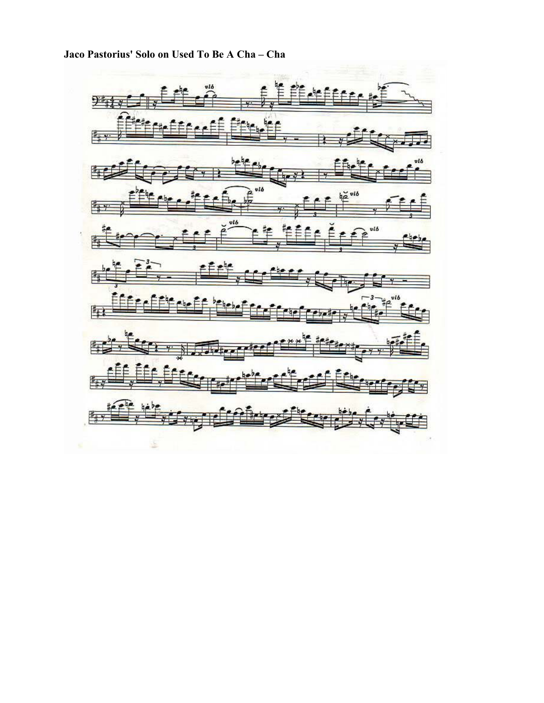۱Ē vló 9  $\frac{1}{2}$ 雪 vló vis 厍 vl6 vib 阵 雪 国 阵 阵 阵

Jaco Pastorius' Solo on Used To Be A Cha - Cha